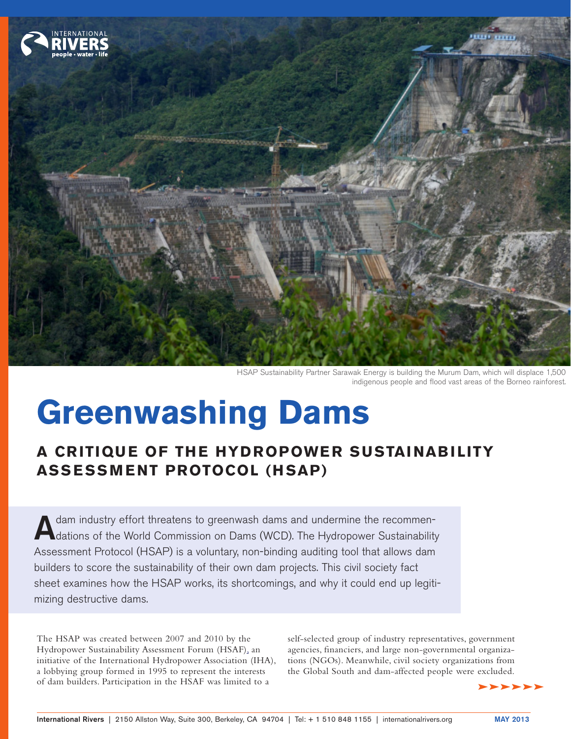

HSAP Sustainability Partner Sarawak Energy is building the Murum Dam, which will displace 1,500 indigenous people and flood vast areas of the Borneo rainforest.

# **Greenwashing Dams**

# **A CRITIQUE OF THE HYDROPOWER SUSTAINABILITY ASSESSMENT PROTOCOL (HSAP)**

A dam industry effort threatens to greenwash dams and undermine the recommen-<br>
dations of the World Commission on Dams (WCD). The Hydropower Sustainability [Assessment Protocol \(HSAP\)](http://www.hydropower.org/sustainable_hydropower/HSAF_Hydropower_Sustainability_Assessment_Protocol.html) is a voluntary, non-binding auditing tool that allows dam builders to score the sustainability of their own dam projects. This civil society fact sheet examines how the HSAP works, its shortcomings, and why it could end up legitimizing destructive dams.

The HSAP was created between 2007 and 2010 by the [Hydropower Sustainability Assessment Forum \(HSAF\),](http://www.hydropower.org/sustainable_hydropower/HSAF.html) an initiative of the [International Hydropower Association \(IHA\),](http://www.hydropower.org/) a lobbying group formed in 1995 to represent the interests of dam builders. Participation in the HSAF was limited to a

self-selected group of industry representatives, government agencies, financiers, and large non-governmental organizations (NGOs). Meanwhile, civil society organizations from the Global South and dam-affected people were excluded.

dddddd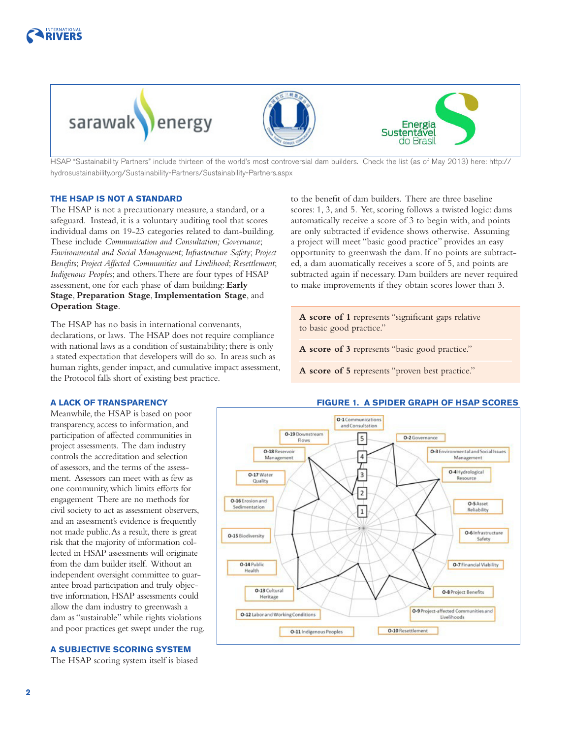



HSAP "Sustainability Partners" include thirteen of the world's most controversial dam builders. Check the list (as of May 2013) here: [http://](http://hydrosustainability.org/Sustainability-Partners/Sustainability-Partners.aspx) [hydrosustainability.org/Sustainability-Partners/Sustainability-Partners.aspx](http://hydrosustainability.org/Sustainability-Partners/Sustainability-Partners.aspx)

#### **THE HSAP IS NOT A STANDARD**

The HSAP is not a precautionary measure, a standard, or a safeguard. Instead, it is a voluntary auditing tool that scores individual dams on 19-23 categories related to dam-building. These include *Communication and Consultation; Governance*; *Environmental and Social Management*; *Infrastructure Safety*; *Project Benefit*s; *Project Affected Communities and Livelihood*; *Resettlement*; *Indigenous Peoples*; and others. There are four types of HSAP assessment, one for each phase of dam building: **Early Stage**, **Preparation Stage**, **Implementation Stage**, and **Operation Stage**.

The HSAP has no basis in international convenants, declarations, or laws. The HSAP does not require compliance with national laws as a condition of sustainability; there is only a stated expectation that developers will do so. In areas such as human rights, gender impact, and cumulative impact assessment, the Protocol falls short of existing best practice.

to the benefit of dam builders. There are three baseline scores: 1, 3, and 5. Yet, scoring follows a twisted logic: dams automatically receive a score of 3 to begin with, and points are only subtracted if evidence shows otherwise. Assuming a project will meet "basic good practice" provides an easy opportunity to greenwash the dam. If no points are subtracted, a dam auomatically receives a score of 5, and points are subtracted again if necessary. Dam builders are never required to make improvements if they obtain scores lower than 3.

**A score of 1** represents "significant gaps relative to basic good practice."

**A score of 3** represents "basic good practice."

**A score of 5** represents "proven best practice."

#### **A LACK OF TRANSPARENCY**

Meanwhile, the HSAP is based on poor transparency, access to information, and participation of affected communities in project assessments. The dam industry controls the accreditation and selection of assessors, and the terms of the assessment. Assessors can meet with as few as one community, which limits efforts for engagement There are no methods for civil society to act as assessment observers, and an assessment's evidence is frequently not made public. As a result, there is great risk that the majority of information collected in HSAP assessments will originate from the dam builder itself. Without an independent oversight committee to guarantee broad participation and truly objective information, HSAP assessments could allow the dam industry to greenwash a dam as "sustainable" while rights violations and poor practices get swept under the rug.

#### **A SUBJECTIVE SCORING SYSTEM**

The HSAP scoring system itself is biased

### **FIGURE 1. A SPIDER GRAPH OF HSAP SCORES**

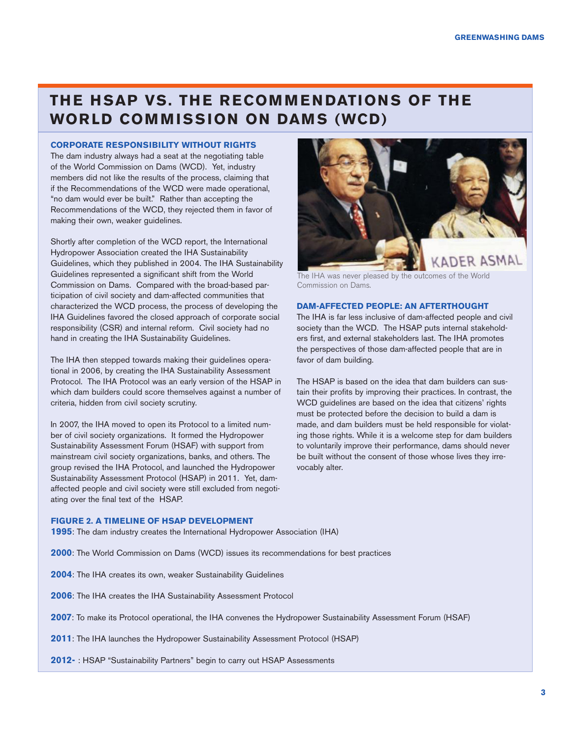## **THE HSAP VS. THE RECOMMENDATIONS OF THE WORLD COMMISSION ON DAMS (WCD)**

#### **CORPORATE RESPONSIBILITY WITHOUT RIGHTS**

The dam industry always had a seat at the negotiating table of the World Commission on Dams (WCD). Yet, industry members did not like the results of the process, claiming that if the Recommendations of the WCD were made operational, "no dam would ever be built." Rather than accepting the Recommendations of the WCD, they rejected them in favor of making their own, weaker guidelines.

Shortly after completion of the WCD report, the International Hydropower Association created the IHA Sustainability Guidelines, which they published in 2004. The IHA Sustainability Guidelines represented a significant shift from the World Commission on Dams. Compared with the broad-based participation of civil society and dam-affected communities that characterized the WCD process, the process of developing the IHA Guidelines favored the closed approach of corporate social responsibility (CSR) and internal reform. Civil society had no hand in creating the IHA Sustainability Guidelines.

The IHA then stepped towards making their guidelines operational in 2006, by creating the IHA Sustainability Assessment Protocol. The IHA Protocol was an early version of the HSAP in which dam builders could score themselves against a number of criteria, hidden from civil society scrutiny.

In 2007, the IHA moved to open its Protocol to a limited number of civil society organizations. It formed the Hydropower Sustainability Assessment Forum (HSAF) with support from mainstream civil society organizations, banks, and others. The group revised the IHA Protocol, and launched the Hydropower Sustainability Assessment Protocol (HSAP) in 2011. Yet, damaffected people and civil society were still excluded from negotiating over the final text of the HSAP.



The IHA was never pleased by the outcomes of the World Commission on Dams.

#### **DAM-AFFECTED PEOPLE: AN AFTERTHOUGHT**

The IHA is far less inclusive of dam-affected people and civil society than the WCD. The HSAP puts internal stakeholders first, and external stakeholders last. The IHA promotes the perspectives of those dam-affected people that are in favor of dam building.

The HSAP is based on the idea that dam builders can sustain their profits by improving their practices. In contrast, the WCD guidelines are based on the idea that citizens' rights must be protected before the decision to build a dam is made, and dam builders must be held responsible for violating those rights. While it is a welcome step for dam builders to voluntarily improve their performance, dams should never be built without the consent of those whose lives they irrevocably alter.

#### **FIGURE 2. A TIMELINE OF HSAP DEVELOPMENT**

**1995**: The dam industry creates the International Hydropower Association (IHA)

- **2000**: The World Commission on Dams (WCD) issues its recommendations for best practices
- **2004**: The IHA creates its own, weaker Sustainability Guidelines
- **2006**: The IHA creates the IHA Sustainability Assessment Protocol
- **2007**: To make its Protocol operational, the IHA convenes the Hydropower Sustainability Assessment Forum (HSAF)
- **2011**: The IHA launches the Hydropower Sustainability Assessment Protocol (HSAP)
- **2012-** : HSAP "Sustainability Partners" begin to carry out HSAP Assessments